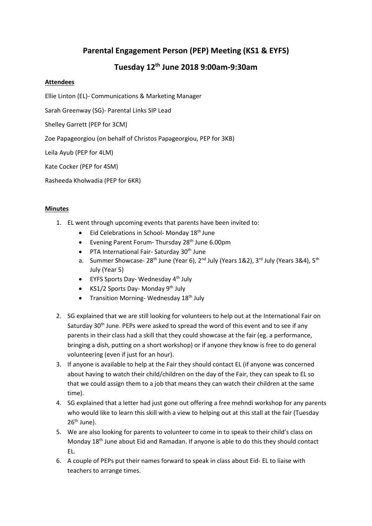## **Parental Engagement Person (PEP) Meeting (KS1 & EYFS)**

## **Tuesday 12th June 2018 9:00am-9:30am**

## **Attendees**

Ellie Linton (EL)- Communications & Marketing Manager

Sarah Greenway (SG)- Parental Links SIP Lead

Shelley Garrett (PEP for 3CM)

Zoe Papageorgiou (on behalf of Christos Papageorgiou, PEP for 3KB)

Leila Ayub (PEP for 4LM)

Kate Cocker (PEP for 4SM)

Rasheeda Kholwadia (PEP for 6KR)

## **Minutes**

- 1. EL went through upcoming events that parents have been invited to:
	- Eid Celebrations in School- Monday 18<sup>th</sup> June
	- Evening Parent Forum- Thursday 28<sup>th</sup> June 6.00pm
	- $\bullet$  PTA International Fair- Saturday 30<sup>th</sup> June
	- a. Summer Showcase-  $28^{th}$  June (Year 6),  $2^{nd}$  July (Years 1&2),  $3^{rd}$  July (Years 3&4),  $5^{th}$ July (Year 5)
	- $\bullet$  EYFS Sports Day-Wednesday 4<sup>th</sup> July
	- KS1/2 Sports Day- Monday  $9<sup>th</sup>$  July
	- Transition Morning-Wednesday  $18<sup>th</sup>$  July
- 2. SG explained that we are still looking for volunteers to help out at the International Fair on Saturday  $30<sup>th</sup>$  June. PEPs were asked to spread the word of this event and to see if any parents in their class had a skill that they could showcase at the fair (eg. a performance, bringing a dish, putting on a short workshop) or if anyone they know is free to do general volunteering (even if just for an hour).
- 3. If anyone is available to help at the Fair they should contact EL (if anyone was concerned about having to watch their child/children on the day of the Fair, they can speak to EL so that we could assign them to a job that means they can watch their children at the same time).
- 4. SG explained that a letter had just gone out offering a free mehndi workshop for any parents who would like to learn this skill with a view to helping out at this stall at the fair (Tuesday 26<sup>th</sup> June).
- 5. We are also looking for parents to volunteer to come in to speak to their child's class on Monday 18th June about Eid and Ramadan. If anyone is able to do this they should contact EL.
- 6. A couple of PEPs put their names forward to speak in class about Eid- EL to liaise with teachers to arrange times.